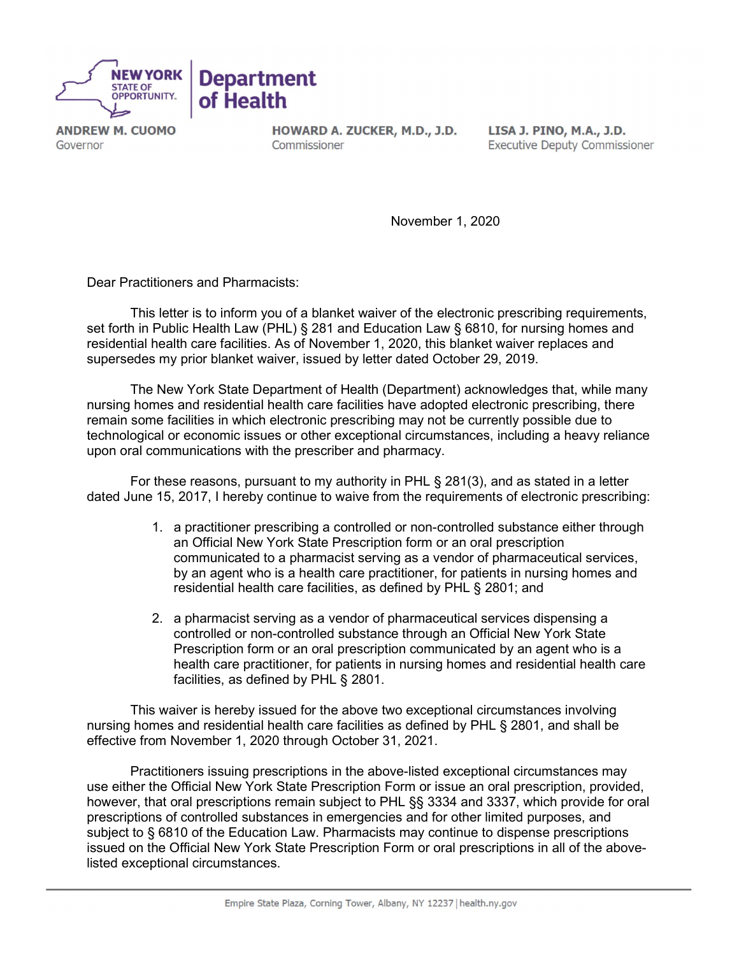

**ANDREW M. CUOMO** Governor

HOWARD A. ZUCKER, M.D., J.D. Commissioner

LISA J. PINO, M.A., J.D. **Executive Deputy Commissioner** 

November 1, 2020

Dear Practitioners and Pharmacists:

 This letter is to inform you of a blanket waiver of the electronic prescribing requirements, set forth in Public Health Law (PHL) § 281 and Education Law § 6810, for nursing homes and residential health care facilities. As of November 1, 2020, this blanket waiver replaces and supersedes my prior blanket waiver, issued by letter dated October 29, 2019.

 The New York State Department of Health (Department) acknowledges that, while many nursing homes and residential health care facilities have adopted electronic prescribing, there remain some facilities in which electronic prescribing may not be currently possible due to technological or economic issues or other exceptional circumstances, including a heavy reliance upon oral communications with the prescriber and pharmacy.

 For these reasons, pursuant to my authority in PHL § 281(3), and as stated in a letter dated June 15, 2017, I hereby continue to waive from the requirements of electronic prescribing:

- 1. a practitioner prescribing a controlled or non-controlled substance either through an Official New York State Prescription form or an oral prescription communicated to a pharmacist serving as a vendor of pharmaceutical services, by an agent who is a health care practitioner, for patients in nursing homes and residential health care facilities, as defined by PHL § 2801; and
- 2. a pharmacist serving as a vendor of pharmaceutical services dispensing a controlled or non-controlled substance through an Official New York State Prescription form or an oral prescription communicated by an agent who is a health care practitioner, for patients in nursing homes and residential health care facilities, as defined by PHL § 2801.

 This waiver is hereby issued for the above two exceptional circumstances involving nursing homes and residential health care facilities as defined by PHL § 2801, and shall be effective from November 1, 2020 through October 31, 2021.

 Practitioners issuing prescriptions in the above-listed exceptional circumstances may use either the Official New York State Prescription Form or issue an oral prescription, provided, however, that oral prescriptions remain subject to PHL §§ 3334 and 3337, which provide for oral prescriptions of controlled substances in emergencies and for other limited purposes, and subject to § 6810 of the Education Law. Pharmacists may continue to dispense prescriptions issued on the Official New York State Prescription Form or oral prescriptions in all of the abovelisted exceptional circumstances.